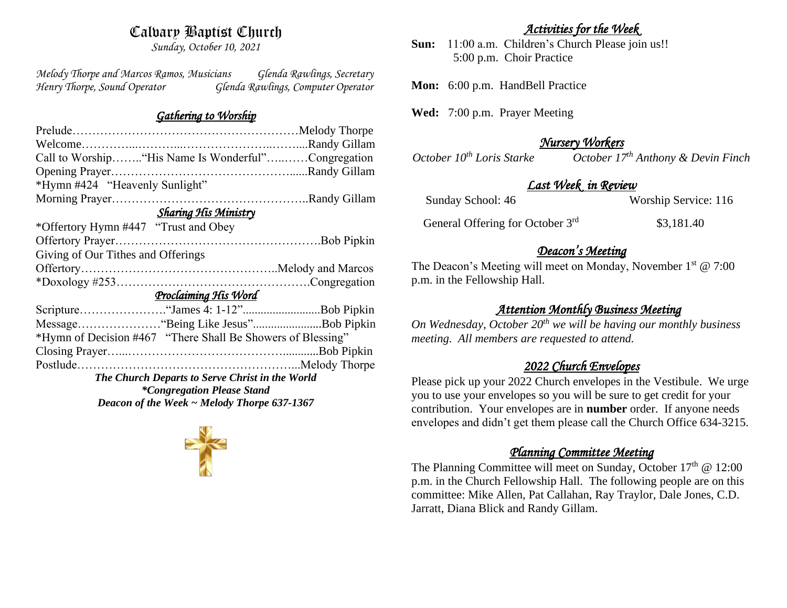# Calvary Baptist Church

*Sunday, October 10, 2021*

*Melody Thorpe and Marcos Ramos, Musicians Glenda Rawlings, Secretary Henry Thorpe, Sound Operator Glenda Rawlings, Computer Operator* 

#### *Gathering to Worship*

| Call to Worship "His Name Is Wonderful"Congregation |  |  |  |
|-----------------------------------------------------|--|--|--|
|                                                     |  |  |  |
|                                                     |  |  |  |
|                                                     |  |  |  |
| <b>Sharing His Ministry</b>                         |  |  |  |
|                                                     |  |  |  |
|                                                     |  |  |  |
| Giving of Our Tithes and Offerings                  |  |  |  |
|                                                     |  |  |  |
|                                                     |  |  |  |
| Proclaiming His Word                                |  |  |  |
|                                                     |  |  |  |
|                                                     |  |  |  |
|                                                     |  |  |  |
|                                                     |  |  |  |
|                                                     |  |  |  |
|                                                     |  |  |  |
|                                                     |  |  |  |
|                                                     |  |  |  |
|                                                     |  |  |  |

## *Activities for the Week*

**Sun:** 11:00 a.m. Children's Church Please join us!! 5:00 p.m. Choir Practice

**Mon:** 6:00 p.m. HandBell Practice

**Wed:** 7:00 p.m. Prayer Meeting

# *Nursery Workers*

*October 10th Loris Starke October 17th Anthony & Devin Finch* 

## *Last Week in Review*

| Sunday School: 46 | Worship Service: 116 |  |
|-------------------|----------------------|--|
|                   |                      |  |

General Offering for October 3rd

#### \$3,181.40

### *Deacon's Meeting*

The Deacon's Meeting will meet on Monday, November 1<sup>st</sup> @ 7:00 p.m. in the Fellowship Hall.

# *Attention Monthly Business Meeting*

*On Wednesday, October 20th we will be having our monthly business meeting. All members are requested to attend.* 

#### *2022 Church Envelopes*

Please pick up your 2022 Church envelopes in the Vestibule. We urge you to use your envelopes so you will be sure to get credit for your contribution. Your envelopes are in **number** order.If anyone needs envelopes and didn't get them please call the Church Office 634-3215.

### *Planning Committee Meeting*

The Planning Committee will meet on Sunday, October  $17<sup>th</sup>$  @ 12:00 p.m. in the Church Fellowship Hall. The following people are on this committee: Mike Allen, Pat Callahan, Ray Traylor, Dale Jones, C.D. Jarratt, Diana Blick and Randy Gillam.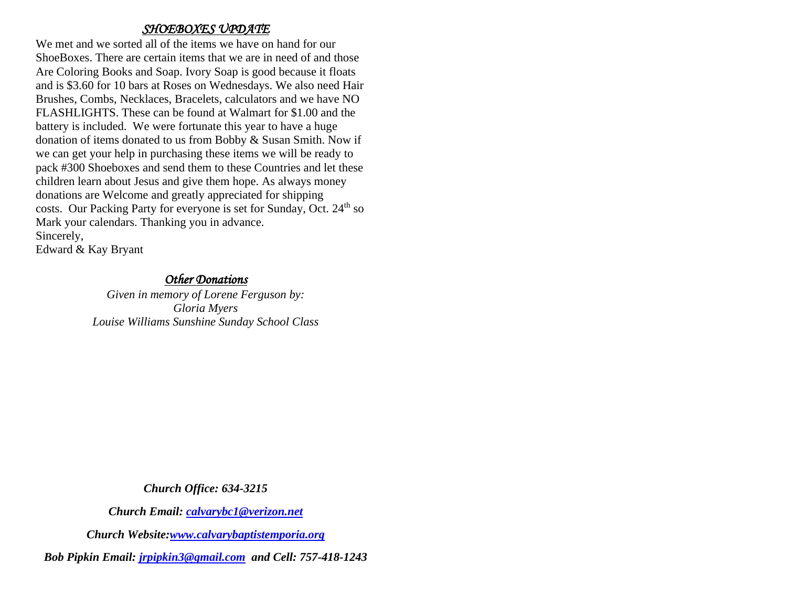#### *SHOEBOXES UPDATE*

We met and we sorted all of the items we have on hand for our ShoeBoxes. There are certain items that we are in need of and those Are Coloring Books and Soap. Ivory Soap is good because it floats and is \$3.60 for 10 bars at Roses on Wednesdays. We also need Hair Brushes, Combs, Necklaces, Bracelets, calculators and we have NO FLASHLIGHTS. These can be found at Walmart for \$1.00 and the battery is included. We were fortunate this year to have a huge donation of items donated to us from Bobby & Susan Smith. Now if we can get your help in purchasing these items we will be ready to pack #300 Shoeboxes and send them to these Countries and let these children learn about Jesus and give them hope. As always money donations are Welcome and greatly appreciated for shipping costs. Our Packing Party for everyone is set for Sunday, Oct. 24<sup>th</sup> so Mark your calendars. Thanking you in advance. Sincerely,

Edward & Kay Bryant

#### *Other Donations*

*Given in memory of Lorene Ferguson by: Gloria Myers Louise Williams Sunshine Sunday School Class*

*Church Office: 634-3215*

*Church Email: [calvarybc1@verizon.net](mailto:cbcemporiaoffice@gmail.com)*

*Church Website[:www.calvarybaptistemporia.org](http://www.calvarybaptistemporia.org/)*

*Bob Pipkin Email: [jrpipkin3@gmail.com](mailto:jrpipkin3@gmail.com) and Cell: 757-418-1243*